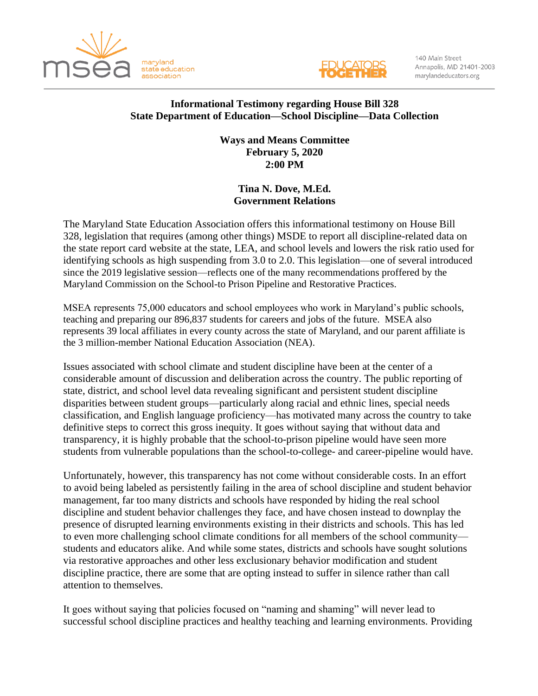



140 Main Street Annapolis, MD 21401-2003 marylandeducators.org

## **Informational Testimony regarding House Bill 328 State Department of Education—School Discipline—Data Collection**

**Ways and Means Committee February 5, 2020 2:00 PM**

## **Tina N. Dove, M.Ed. Government Relations**

The Maryland State Education Association offers this informational testimony on House Bill 328, legislation that requires (among other things) MSDE to report all discipline-related data on the state report card website at the state, LEA, and school levels and lowers the risk ratio used for identifying schools as high suspending from 3.0 to 2.0. This legislation—one of several introduced since the 2019 legislative session—reflects one of the many recommendations proffered by the Maryland Commission on the School-to Prison Pipeline and Restorative Practices.

MSEA represents 75,000 educators and school employees who work in Maryland's public schools, teaching and preparing our 896,837 students for careers and jobs of the future. MSEA also represents 39 local affiliates in every county across the state of Maryland, and our parent affiliate is the 3 million-member National Education Association (NEA).

Issues associated with school climate and student discipline have been at the center of a considerable amount of discussion and deliberation across the country. The public reporting of state, district, and school level data revealing significant and persistent student discipline disparities between student groups—particularly along racial and ethnic lines, special needs classification, and English language proficiency—has motivated many across the country to take definitive steps to correct this gross inequity. It goes without saying that without data and transparency, it is highly probable that the school-to-prison pipeline would have seen more students from vulnerable populations than the school-to-college- and career-pipeline would have.

Unfortunately, however, this transparency has not come without considerable costs. In an effort to avoid being labeled as persistently failing in the area of school discipline and student behavior management, far too many districts and schools have responded by hiding the real school discipline and student behavior challenges they face, and have chosen instead to downplay the presence of disrupted learning environments existing in their districts and schools. This has led to even more challenging school climate conditions for all members of the school community students and educators alike. And while some states, districts and schools have sought solutions via restorative approaches and other less exclusionary behavior modification and student discipline practice, there are some that are opting instead to suffer in silence rather than call attention to themselves.

It goes without saying that policies focused on "naming and shaming" will never lead to successful school discipline practices and healthy teaching and learning environments. Providing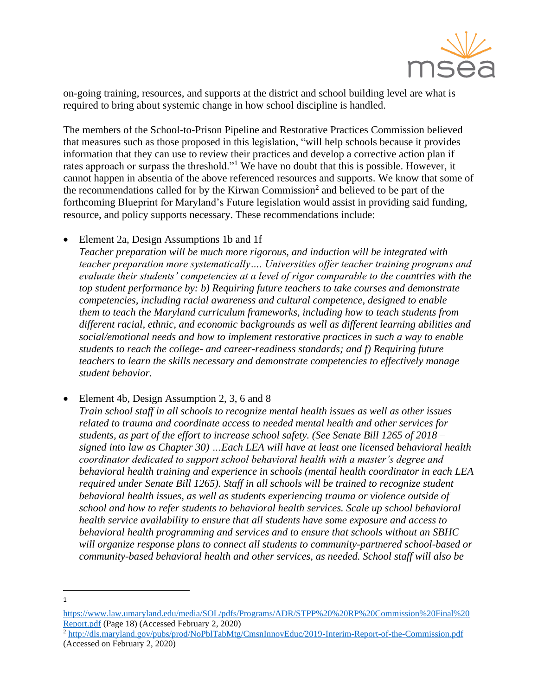

on-going training, resources, and supports at the district and school building level are what is required to bring about systemic change in how school discipline is handled.

The members of the School-to-Prison Pipeline and Restorative Practices Commission believed that measures such as those proposed in this legislation, "will help schools because it provides information that they can use to review their practices and develop a corrective action plan if rates approach or surpass the threshold."<sup>1</sup> We have no doubt that this is possible. However, it cannot happen in absentia of the above referenced resources and supports. We know that some of the recommendations called for by the Kirwan Commission<sup>2</sup> and believed to be part of the forthcoming Blueprint for Maryland's Future legislation would assist in providing said funding, resource, and policy supports necessary. These recommendations include:

• Element 2a, Design Assumptions 1b and 1f

*Teacher preparation will be much more rigorous, and induction will be integrated with teacher preparation more systematically…. Universities offer teacher training programs and evaluate their students' competencies at a level of rigor comparable to the countries with the top student performance by: b) Requiring future teachers to take courses and demonstrate competencies, including racial awareness and cultural competence, designed to enable them to teach the Maryland curriculum frameworks, including how to teach students from different racial, ethnic, and economic backgrounds as well as different learning abilities and social/emotional needs and how to implement restorative practices in such a way to enable students to reach the college- and career-readiness standards; and f) Requiring future teachers to learn the skills necessary and demonstrate competencies to effectively manage student behavior.*

• Element 4b, Design Assumption 2, 3, 6 and 8

*Train school staff in all schools to recognize mental health issues as well as other issues related to trauma and coordinate access to needed mental health and other services for students, as part of the effort to increase school safety. (See Senate Bill 1265 of 2018 – signed into law as Chapter 30) …Each LEA will have at least one licensed behavioral health coordinator dedicated to support school behavioral health with a master's degree and behavioral health training and experience in schools (mental health coordinator in each LEA required under Senate Bill 1265). Staff in all schools will be trained to recognize student behavioral health issues, as well as students experiencing trauma or violence outside of school and how to refer students to behavioral health services. Scale up school behavioral health service availability to ensure that all students have some exposure and access to behavioral health programming and services and to ensure that schools without an SBHC will organize response plans to connect all students to community-partnered school-based or community-based behavioral health and other services, as needed. School staff will also be* 

<sup>1</sup>

[https://www.law.umaryland.edu/media/SOL/pdfs/Programs/ADR/STPP%20%20RP%20Commission%20Final%20](https://www.law.umaryland.edu/media/SOL/pdfs/Programs/ADR/STPP%20%20RP%20Commission%20Final%20Report.pdf) [Report.pdf](https://www.law.umaryland.edu/media/SOL/pdfs/Programs/ADR/STPP%20%20RP%20Commission%20Final%20Report.pdf) (Page 18) (Accessed February 2, 2020)

<sup>2</sup> <http://dls.maryland.gov/pubs/prod/NoPblTabMtg/CmsnInnovEduc/2019-Interim-Report-of-the-Commission.pdf> (Accessed on February 2, 2020)